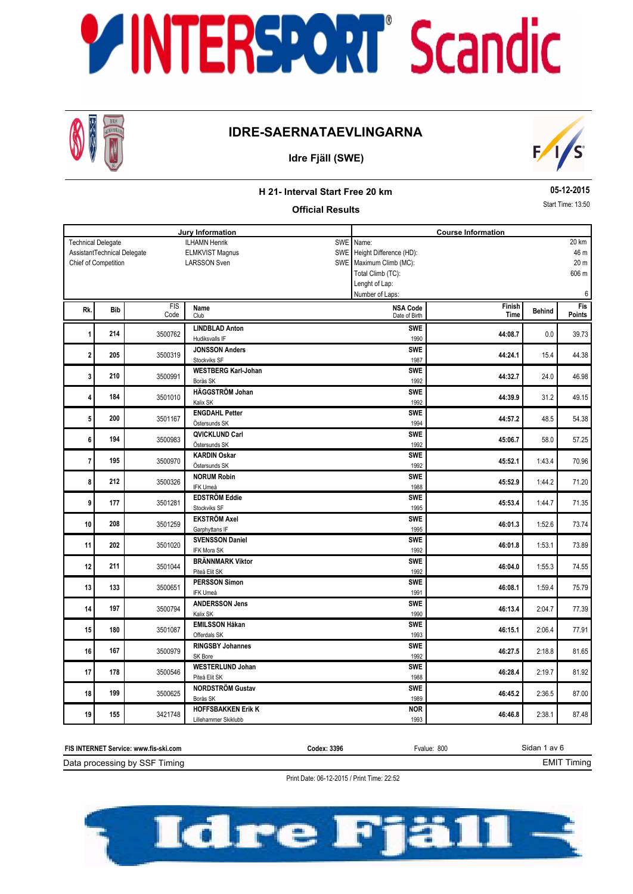

### **IDRE-SAERNATAEVLINGARNA**



### **Idre Fjäll (SWE)**

### **H 21- Interval Start Free 20 km Official Results**

**05-12-2015** Start Time: 13:50

2:38.1

#### **Jury Information Course Information** ILHAMN Henrik ELMKVIST Magnus LARSSON Sven Technical Delegate Chief of Competition AssistantTechnical Delegate SWE SWE SWE Name: Height Difference (HD): Maximum Climb (MC): Total Climb (TC): Lenght of Lap: Number of Laps: 46 m 20 m 606 m 6 20 km **Behind Behind Behind Research <b>Property Behind Finish Behind Time** FIS Code Fis<br>Points Rk. Bib **Property Code (Club** Code Club Code Date of Birth Date of Birth Date of Birth Date of Birth Date of Birth Date of Birth Date of Birth Date of Birth Date of Birth Date of Birth Date of Birth Date of Birth Date of B Club **Bib** Date of Birth **NSA Code** 0.0 **LINDBLAD Anton 1** 3500762 **44:08.7** 39.73 **SWE 214 214 21500762 LINDBLAD Anton** Hudiksvalls IF 1990 15.4 **JONSSON Anders 2** 3500319 **44:24.1** 44.38 **SWE 205 205 206 206 206 206 206 206 206 206 206 206 206 206 206 206** Stockviks SF 1987 24.0 **WESTBERG Karl-Johan 3 44:32.7 44:32.7 44:32.7 44:32.7 44:32.7 44:32.7 44:32.7 44:32.7 44:32.7 45:98 SWE** 1992 **WESTBERG Karl-Johan**<br>
Borås SK 1992 **Borås SK 1992** 31.2 **HÄGGSTRÖM Johan 4** 3501010 **44:39.9** 49.15 **SWE 184 184 184 184 184 184 184 184 184 184 184 184 184 186 186** Kalix SK 1992 48.5 **ENGDAHL Petter 5 4** 3501167 **41.57.2 41.57.2 41.57.2 41.57.2 41.57.2 41.57.2 41.57.2 41.57.2 41.57.2 41.57.2 41.57.2 41.57.2 41.57.2 41.57.2 41.57.2 41.57.2 41.57.2 41.57.2 41.57.2 41.57.2 41.57 SWE <sup>200</sup>** Östersunds SK <sup>1994</sup> 58.0 **QVICKLUND Carl 6** 3500983 **45:06.7** 57.25 **SWE** 3500983 **QVICKLUND Carl**<br>
Östersunds SK 1992 1:43.4 **KARDIN Oskar 7** 3500970 **45:52.1** 70.96 **SWE** S500970 **KARDIN Oskar** Same Serversunds SK 1992<br>The Step of Stersunds SK 1992 1:44.2 **NORUM Robin 8** 3500326 **45:52.9** 71.20 **SWE 212** 3500326 **NORUM Robin** 1988 1988 1988 1988 1:44.7 **EDSTRÖM Eddie 9** 3501281 **45:53.4** 71.35 **SWE 177 177 177 177 1891 1892 1892 1892 1893 1892 1893 1895** Stockviks SF 1995 1:52.6 **EKSTRÖM Axel 10** 3501259 **46:01.3** 73.74 **SWE 208 EXSTRÖM Axel EXSTRÖM Axel 208 EXECUTE:** Garphyttans IF 1995 1:53.1 **SVENSSON Daniel 11 202 10** 3501020 **46:01.8 11 46:01.8 46:01.8 46:01.8 11 46:01.8 11 46:01.8 11 SWE 3501020 SVENSSON Daniel 202 SWE SWE** IFK Mora SK 1992 1:55.3 **BRÄNNMARK Viktor 12** 3501044 **46:04.0** 74.55 **SWE 211 211 211 211 211 211 211 211 211 211 211 211 211 21992**  1:59.4 **PERSSON Simon 13 133 133 13500651 146:08.1 146:08.1 159.4 15.79 SWE 133 133 133 133 134 134 134 1991 1991 1991**  $2:04.7$ **ANDERSSON Jens 14 197 197 1981 1981 1981 1981 1981 1981 1991 1991 1991 1991 1991 1991 1991 1991 1991 1991 1991 1991 1991 1991 1991 1991 1991 1991 1991 1991 1991 1991 1991 1 SWE** 197 3500794 ANDERSSON Jens **197** 2008 Kalix SK 1990 2:06.4 **EMILSSON Håkan 15 180 180 180 180 180 180 180 180 180 180 180 180 180 180 180 180 180 180 180 180 180 180 180 180 180 180 180 180 180 180 180 180 180 180 180 180** 180 **SWE** 3501087 **EMILSSON Håkan**<br>180 **SWE** 2001 – 2001 – 2001 – 2001 – 2002 – 2003 – 2004 Offerdals SK 1993  $2.18.8$ **RINGSBY Johannes SWE <sup>167</sup> 16 167 167 16800979 46:27.5 46:27.5 46:27.5** 81.65 SK Bore 1992  $2.19.7$ **WESTERLUND Johan 17 178 46:28.4 46:28.4 46:28.4 46:28.4 46:28.4 46:28.4 46:28.4 46:28.4 46:28.4 46:28.4 178 46:28.4 178 46:28.4 179.7 181.92 SWE <sup>178</sup>** Piteå Elit SK <sup>1988</sup> 2:36.5 **NORDSTRÖM Gustav 18 199 46:45.2 46:45.2** 87.00 **SWE** 199 Borås SK 1989<br>
Borås SK 1989<br>
Borås SK 1989 **HOFFSBAKKEN Erik K NOR <sup>155</sup>**

| FIS INTERNET Service: www.fis-ski.com | Codex: 3396 | Fvalue: 800 | Sidan<br>av 6  |
|---------------------------------------|-------------|-------------|----------------|
| Data processing by SSF<br>Timina      |             |             | EMIT<br>Fiminc |

Lillehammer Skiklubb 1993

**19 155 46:46.8 46:46.8 46:46.8 46:46.8 46:46.8 46:46.8 46:46.8 46:46.8 46:46.8 46:46.8 46:46.8 46:46.8 46:46.8 46:46.8 46:46.8 46:46.8 46:46.8 46:46.8 46:46.8 46:46.8 46:46.8**

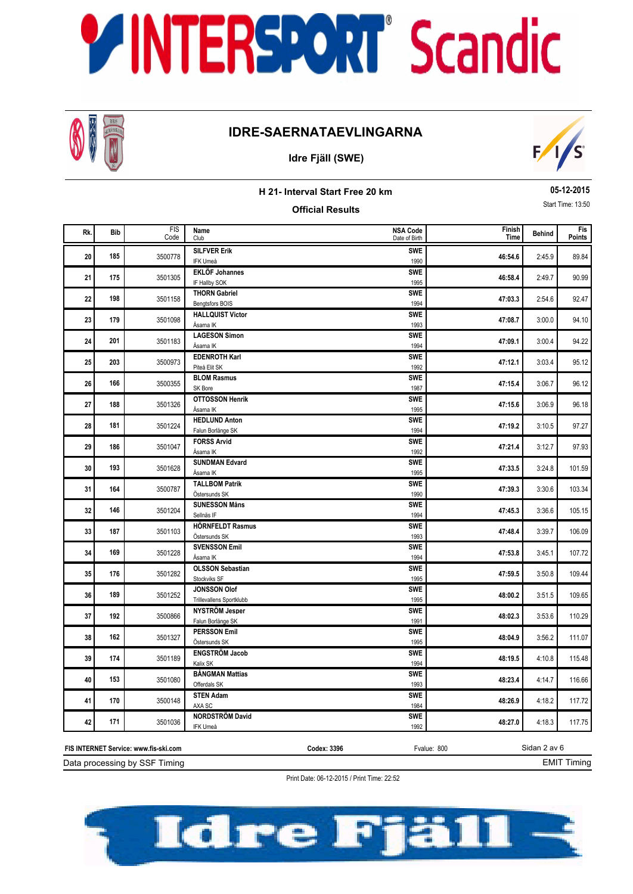

### **IDRE-SAERNATAEVLINGARNA**

### **Idre Fjäll (SWE)**



**H 21- Interval Start Free 20 km Official Results**

#### **05-12-2015** Start Time: 13:50

| Rk. | <b>Bib</b> | FIS<br>Code | Name<br>Club                                    | <b>NSA Code</b><br>Date of Birth | Finish<br>Time | <b>Behind</b> | <b>Fis</b><br>Points |
|-----|------------|-------------|-------------------------------------------------|----------------------------------|----------------|---------------|----------------------|
| 20  | 185        | 3500778     | <b>SILFVER Erik</b><br>IFK Umeå                 | <b>SWE</b><br>1990               | 46:54.6        | 2:45.9        | 89.84                |
| 21  | 175        | 3501305     | <b>EKLÖF Johannes</b><br>IF Hallby SOK          | <b>SWE</b><br>1995               | 46:58.4        | 2:49.7        | 90.99                |
| 22  | 198        | 3501158     | <b>THORN Gabriel</b><br>Bengtsfors BOIS         | <b>SWE</b><br>1994               | 47:03.3        | 2:54.6        | 92.47                |
| 23  | 179        | 3501098     | <b>HALLQUIST Victor</b><br>Åsarna IK            | <b>SWE</b><br>1993               | 47:08.7        | 3:00.0        | 94.10                |
| 24  | 201        | 3501183     | <b>LAGESON Simon</b><br>Åsarna IK               | <b>SWE</b><br>1994               | 47:09.1        | 3:00.4        | 94.22                |
| 25  | 203        | 3500973     | <b>EDENROTH Karl</b><br>Piteå Elit SK           | <b>SWE</b><br>1992               | 47:12.1        | 3:03.4        | 95.12                |
| 26  | 166        | 3500355     | <b>BLOM Rasmus</b><br>SK Bore                   | <b>SWE</b><br>1987               | 47:15.4        | 3:06.7        | 96.12                |
| 27  | 188        | 3501326     | <b>OTTOSSON Henrik</b><br>Åsarna IK             | <b>SWE</b><br>1995               | 47:15.6        | 3:06.9        | 96.18                |
| 28  | 181        | 3501224     | <b>HEDLUND Anton</b><br>Falun Borlänge SK       | <b>SWE</b><br>1994               | 47:19.2        | 3:10.5        | 97.27                |
| 29  | 186        | 3501047     | <b>FORSS Arvid</b><br>Åsarna IK                 | <b>SWE</b><br>1992               | 47:21.4        | 3:12.7        | 97.93                |
| 30  | 193        | 3501628     | <b>SUNDMAN Edvard</b><br>Åsarna IK              | <b>SWE</b><br>1995               | 47:33.5        | 3:24.8        | 101.59               |
| 31  | 164        | 3500787     | <b>TALLBOM Patrik</b><br>Östersunds SK          | <b>SWE</b><br>1990               | 47:39.3        | 3:30.6        | 103.34               |
| 32  | 146        | 3501204     | <b>SUNESSON Måns</b><br>Sellnäs IF              | <b>SWE</b><br>1994               | 47:45.3        | 3:36.6        | 105.15               |
| 33  | 187        | 3501103     | <b>HÖRNFELDT Rasmus</b><br>Östersunds SK        | <b>SWE</b><br>1993               | 47:48.4        | 3:39.7        | 106.09               |
| 34  | 169        | 3501228     | <b>SVENSSON Emil</b><br>Åsarna IK               | <b>SWE</b><br>1994               | 47:53.8        | 3:45.1        | 107.72               |
| 35  | 176        | 3501282     | <b>OLSSON Sebastian</b><br>Stockviks SF         | <b>SWE</b><br>1995               | 47:59.5        | 3:50.8        | 109.44               |
| 36  | 189        | 3501252     | <b>JONSSON Olof</b><br>Trillevallens Sportklubb | <b>SWE</b><br>1995               | 48:00.2        | 3:51.5        | 109.65               |
| 37  | 192        | 3500866     | NYSTRÖM Jesper<br>Falun Borlänge SK             | <b>SWE</b><br>1991               | 48:02.3        | 3:53.6        | 110.29               |
| 38  | 162        | 3501327     | <b>PERSSON Emil</b><br>Östersunds SK            | <b>SWE</b><br>1995               | 48:04.9        | 3:56.2        | 111.07               |
| 39  | 174        | 3501189     | <b>ENGSTRÖM Jacob</b><br>Kalix SK               | <b>SWE</b><br>1994               | 48:19.5        | 4:10.8        | 115.48               |
| 40  | 153        | 3501080     | <b>BÅNGMAN Mattias</b><br>Offerdals SK          | <b>SWE</b><br>1993               | 48:23.4        | 4:14.7        | 116.66               |
| 41  | 170        | 3500148     | <b>STEN Adam</b><br>AXA SC                      | <b>SWE</b><br>1984               | 48:26.9        | 4:18.2        | 117.72               |
| 42  | 171        | 3501036     | <b>NORDSTRÖM David</b><br>IFK Umeå              | <b>SWE</b><br>1992               | 48:27.0        | 4:18.3        | 117.75               |

Data processing by SSF Timing **FIS INTERNET Service: www.fis-ski.com Codex: 3396** Fvalue: 800

EMIT Timing

Sidan 2 av 6

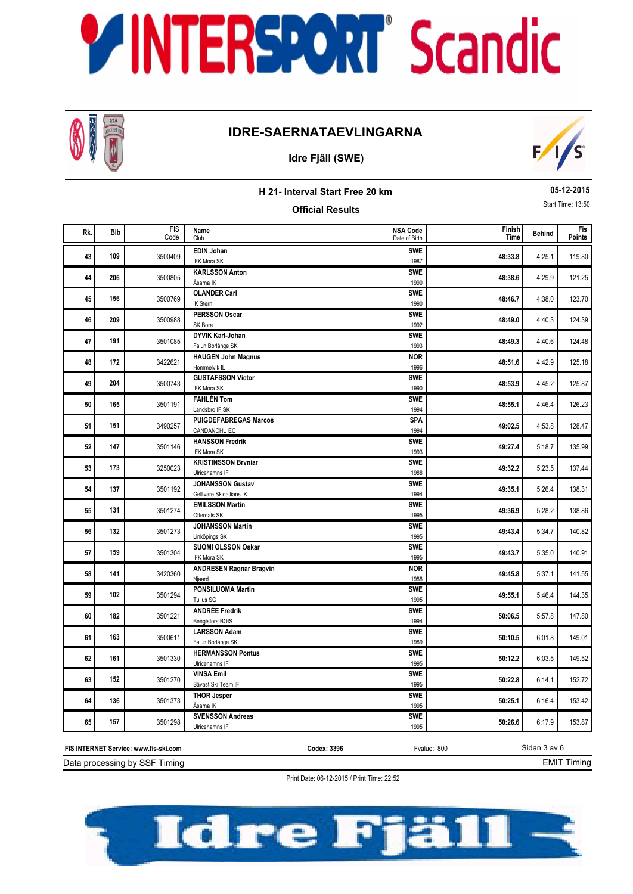

### **IDRE-SAERNATAEVLINGARNA**

### **Idre Fjäll (SWE)**



**H 21- Interval Start Free 20 km Official Results**

#### **05-12-2015** Start Time: 13:50

| Rk. | <b>Bib</b> | <b>FIS</b><br>Code | Name<br>Club                                        | <b>NSA Code</b><br>Date of Birth | Finish<br>Time | <b>Behind</b> | Fis<br>Points |
|-----|------------|--------------------|-----------------------------------------------------|----------------------------------|----------------|---------------|---------------|
| 43  | 109        | 3500409            | <b>EDIN Johan</b><br>IFK Mora SK                    | <b>SWE</b><br>1987               | 48:33.8        | 4:25.1        | 119.80        |
| 44  | 206        | 3500805            | <b>KARLSSON Anton</b><br>Åsarna IK                  | <b>SWE</b><br>1990               | 48:38.6        | 4:29.9        | 121.25        |
| 45  | 156        | 3500769            | <b>OLANDER Carl</b><br><b>IK Stern</b>              | <b>SWF</b><br>1990               | 48:46.7        | 4:38.0        | 123.70        |
| 46  | 209        | 3500988            | <b>PERSSON Oscar</b><br>SK Bore                     | <b>SWE</b><br>1992               | 48:49.0        | 4:40.3        | 124.39        |
| 47  | 191        | 3501085            | DYVIK Karl-Johan<br>Falun Borlänge SK               | <b>SWE</b><br>1993               | 48:49.3        | 4:40.6        | 124.48        |
| 48  | 172        | 3422621            | <b>HAUGEN John Magnus</b><br>Hommelvik IL           | <b>NOR</b><br>1996               | 48:51.6        | 4:42.9        | 125.18        |
| 49  | 204        | 3500743            | <b>GUSTAFSSON Victor</b><br>IFK Mora SK             | <b>SWE</b><br>1990               | 48:53.9        | 4:45.2        | 125.87        |
| 50  | 165        | 3501191            | <b>FAHLÉN Tom</b><br>Landsbro IF SK                 | <b>SWE</b><br>1994               | 48:55.1        | 4:46.4        | 126.23        |
| 51  | 151        | 3490257            | <b>PUIGDEFABREGAS Marcos</b><br>CANDANCHU EC        | <b>SPA</b><br>1994               | 49:02.5        | 4:53.8        | 128.47        |
| 52  | 147        | 3501146            | <b>HANSSON Fredrik</b><br>IFK Mora SK               | <b>SWF</b><br>1993               | 49:27.4        | 5:18.7        | 135.99        |
| 53  | 173        | 3250023            | <b>KRISTINSSON Brvniar</b><br>Ulricehamns IF        | <b>SWE</b><br>1988               | 49:32.2        | 5:23.5        | 137.44        |
| 54  | 137        | 3501192            | <b>JOHANSSON Gustav</b><br>Gellivare Skidallians IK | <b>SWE</b><br>1994               | 49:35.1        | 5:26.4        | 138.31        |
| 55  | 131        | 3501274            | <b>EMILSSON Martin</b><br>Offerdals SK              | <b>SWE</b><br>1995               | 49:36.9        | 5:28.2        | 138.86        |
| 56  | 132        | 3501273            | <b>JOHANSSON Martin</b><br>Linköpings SK            | <b>SWE</b><br>1995               | 49:43.4        | 5:34.7        | 140.82        |
| 57  | 159        | 3501304            | SUOMI OLSSON Oskar<br>IFK Mora SK                   | <b>SWE</b><br>1995               | 49:43.7        | 5:35.0        | 140.91        |
| 58  | 141        | 3420360            | <b>ANDRESEN Ragnar Bragvin</b><br>Njaard            | <b>NOR</b><br>1988               | 49:45.8        | 5:37.1        | 141.55        |
| 59  | 102        | 3501294            | <b>PONSILUOMA Martin</b><br>Tullus SG               | <b>SWE</b><br>1995               | 49:55.1        | 5:46.4        | 144.35        |
| 60  | 182        | 3501221            | <b>ANDRÉE Fredrik</b><br><b>Bengtsfors BOIS</b>     | <b>SWF</b><br>1994               | 50:06.5        | 5:57.8        | 147.80        |
| 61  | 163        | 3500611            | <b>LARSSON Adam</b><br>Falun Borlänge SK            | <b>SWE</b><br>1989               | 50:10.5        | 6:01.8        | 149.01        |
| 62  | 161        | 3501330            | <b>HERMANSSON Pontus</b><br>Ulricehamns IF          | <b>SWF</b><br>1995               | 50:12.2        | 6:03.5        | 149.52        |
| 63  | 152        | 3501270            | <b>VINSA Emil</b><br>Sävast Ski Team IF             | <b>SWE</b><br>1995               | 50:22.8        | 6:14.1        | 152.72        |
| 64  | 136        | 3501373            | <b>THOR Jesper</b><br>Åsarna IK                     | <b>SWE</b><br>1995               | 50:25.1        | 6:16.4        | 153.42        |
| 65  | 157        | 3501298            | <b>SVENSSON Andreas</b><br>Ulricehamns IF           | <b>SWF</b><br>1995               | 50:26.6        | 6:17.9        | 153.87        |

Sidan 3 av 6 Data processing by SSF Timing **FIS INTERNET Service: www.fis-ski.com Codex: 3396** Fvalue: 800

EMIT Timing

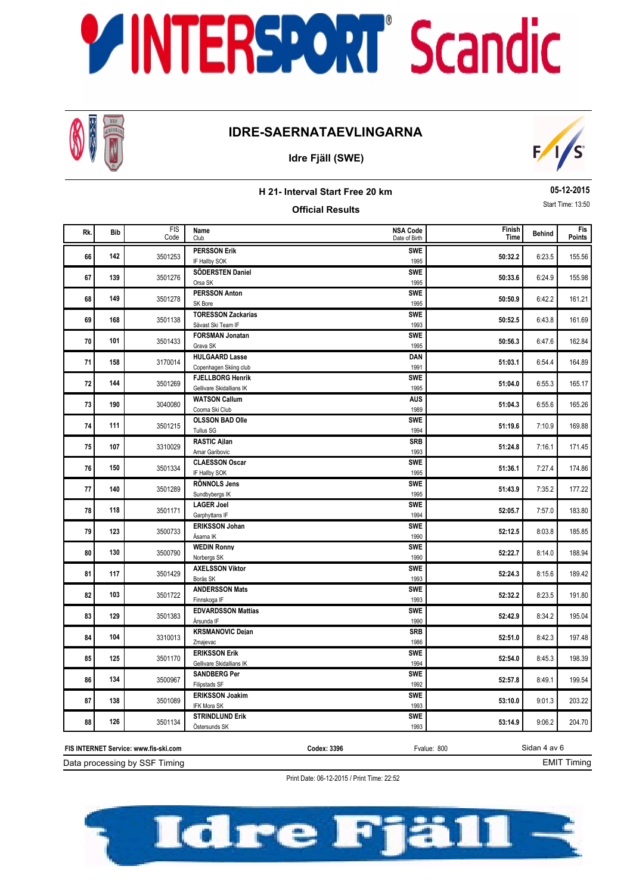

### **IDRE-SAERNATAEVLINGARNA**

### **Idre Fjäll (SWE)**



**H 21- Interval Start Free 20 km**

#### **Official Results**

**05-12-2015** Start Time: 13:50

| Rk. | Bib | FIS<br>Code | Name<br>Club                                        | <b>NSA Code</b><br>Date of Birth | Finish<br>Time | <b>Behind</b> | Fis<br>Points |
|-----|-----|-------------|-----------------------------------------------------|----------------------------------|----------------|---------------|---------------|
| 66  | 142 | 3501253     | <b>PERSSON Erik</b><br>IF Hallby SOK                | <b>SWE</b><br>1995               | 50:32.2        | 6:23.5        | 155.56        |
| 67  | 139 | 3501276     | SÖDERSTEN Daniel<br>Orsa SK                         | <b>SWE</b><br>1995               | 50:33.6        | 6:24.9        | 155.98        |
| 68  | 149 | 3501278     | <b>PERSSON Anton</b><br>SK Bore                     | <b>SWE</b><br>1995               | 50:50.9        | 6:42.2        | 161.21        |
| 69  | 168 | 3501138     | <b>TORESSON Zackarias</b><br>Sävast Ski Team IF     | <b>SWE</b><br>1993               | 50:52.5        | 6:43.8        | 161.69        |
| 70  | 101 | 3501433     | <b>FORSMAN Jonatan</b><br>Grava SK                  | <b>SWE</b><br>1995               | 50:56.3        | 6:47.6        | 162.84        |
| 71  | 158 | 3170014     | <b>HULGAARD Lasse</b><br>Copenhagen Skiing club     | DAN<br>1991                      | 51:03.1        | 6:54.4        | 164.89        |
| 72  | 144 | 3501269     | <b>FJELLBORG Henrik</b><br>Gellivare Skidallians IK | <b>SWE</b><br>1995               | 51:04.0        | 6:55.3        | 165.17        |
| 73  | 190 | 3040080     | <b>WATSON Callum</b><br>Cooma Ski Club              | <b>AUS</b><br>1989               | 51:04.3        | 6:55.6        | 165.26        |
| 74  | 111 | 3501215     | <b>OLSSON BAD Olle</b><br>Tullus SG                 | <b>SWE</b><br>1994               | 51:19.6        | 7:10.9        | 169.88        |
| 75  | 107 | 3310029     | <b>RASTIC Ailan</b><br>Amar Garibovic               | <b>SRB</b><br>1993               | 51:24.8        | 7:16.1        | 171.45        |
| 76  | 150 | 3501334     | <b>CLAESSON Oscar</b><br>IF Hallby SOK              | <b>SWE</b><br>1995               | 51:36.1        | 7:27.4        | 174.86        |
| 77  | 140 | 3501289     | <b>RÖNNOLS Jens</b><br>Sundbybergs IK               | <b>SWE</b><br>1995               | 51:43.9        | 7:35.2        | 177.22        |
| 78  | 118 | 3501171     | <b>LAGER Joel</b><br>Garphyttans IF                 | <b>SWE</b><br>1994               | 52:05.7        | 7:57.0        | 183.80        |
| 79  | 123 | 3500733     | <b>ERIKSSON Johan</b><br>Åsarna IK                  | <b>SWE</b><br>1990               | 52:12.5        | 8:03.8        | 185.85        |
| 80  | 130 | 3500790     | <b>WEDIN Ronny</b><br>Norbergs SK                   | <b>SWE</b><br>1990               | 52:22.7        | 8:14.0        | 188.94        |
| 81  | 117 | 3501429     | <b>AXELSSON Viktor</b><br>Borås SK                  | <b>SWE</b><br>1993               | 52:24.3        | 8:15.6        | 189.42        |
| 82  | 103 | 3501722     | <b>ANDERSSON Mats</b><br>Finnskoga IF               | <b>SWE</b><br>1993               | 52:32.2        | 8:23.5        | 191.80        |
| 83  | 129 | 3501383     | <b>EDVARDSSON Mattias</b><br>Årsunda IF             | <b>SWE</b><br>1990               | 52:42.9        | 8:34.2        | 195.04        |
| 84  | 104 | 3310013     | <b>KRSMANOVIC Dejan</b><br>Zmajevac                 | <b>SRB</b><br>1986               | 52:51.0        | 8:42.3        | 197.48        |
| 85  | 125 | 3501170     | <b>ERIKSSON Erik</b><br>Gellivare Skidallians IK    | <b>SWF</b><br>1994               | 52:54.0        | 8:45.3        | 198.39        |
| 86  | 134 | 3500967     | <b>SANDBERG Per</b><br>Filipstads SF                | <b>SWE</b><br>1992               | 52:57.8        | 8:49.1        | 199.54        |
| 87  | 138 | 3501089     | <b>ERIKSSON Joakim</b><br>IFK Mora SK               | <b>SWE</b><br>1993               | 53:10.0        | 9:01.3        | 203.22        |
| 88  | 126 | 3501134     | <b>STRINDLUND Erik</b><br>Östersunds SK             | <b>SWE</b><br>1993               | 53:14.9        | 9:06.2        | 204.70        |

Sidan 4 av 6 Data processing by SSF Timing **FIS INTERNET Service: www.fis-ski.com Codex: 3396** Fvalue: 800

EMIT Timing

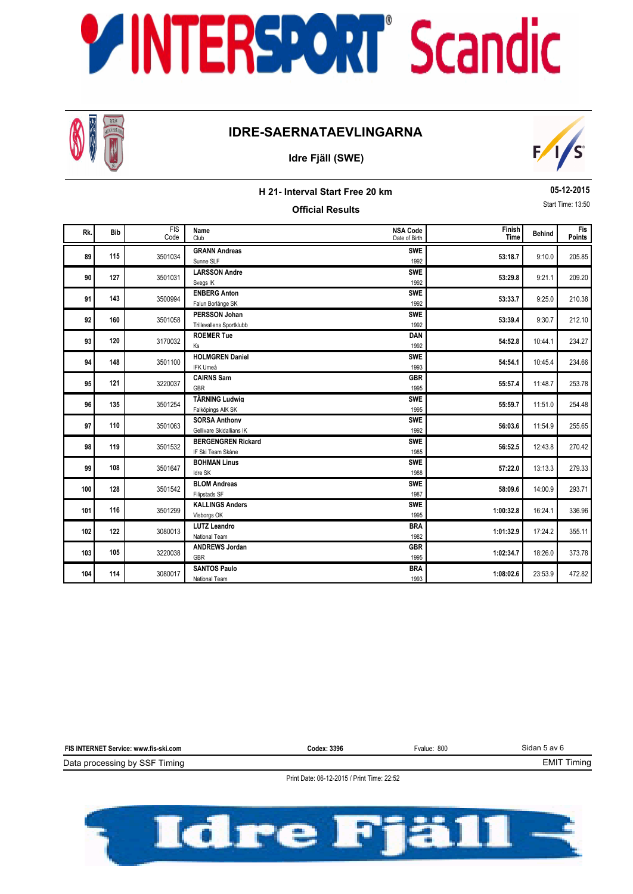

### **IDRE-SAERNATAEVLINGARNA**

### **Idre Fjäll (SWE)**



**H 21- Interval Start Free 20 km**

### **05-12-2015**

**Official Results**

|                   | <b>UJ-14-4019</b> |  |
|-------------------|-------------------|--|
| Start Time: 13:50 |                   |  |

| Rk. | <b>Bib</b> | <b>FIS</b><br>Code | Name<br><b>NSA Code</b><br>Club<br>Date of Birth |                    | Finish<br>Time | <b>Behind</b> | <b>Fis</b><br>Points |
|-----|------------|--------------------|--------------------------------------------------|--------------------|----------------|---------------|----------------------|
| 89  | 115        | 3501034            | <b>GRANN Andreas</b><br>Sunne SLF                | <b>SWE</b><br>1992 | 53:18.7        | 9:10.0        | 205.85               |
| 90  | 127        | 3501031            | <b>LARSSON Andre</b><br>Svegs IK                 | <b>SWE</b><br>1992 | 53:29.8        | 9:21.1        | 209.20               |
| 91  | 143        | 3500994            | <b>ENBERG Anton</b><br>Falun Borlänge SK         | <b>SWE</b><br>1992 | 53:33.7        | 9:25.0        | 210.38               |
| 92  | 160        | 3501058            | <b>PERSSON Johan</b><br>Trillevallens Sportklubb | <b>SWE</b><br>1992 | 53:39.4        | 9:30.7        | 212.10               |
| 93  | 120        | 3170032            | <b>ROEMER Tue</b><br>Ks                          | <b>DAN</b><br>1992 | 54:52.8        | 10:44.1       | 234.27               |
| 94  | 148        | 3501100            | <b>HOLMGREN Daniel</b><br>IFK Umeå               | <b>SWE</b><br>1993 | 54:54.1        | 10:45.4       | 234.66               |
| 95  | 121        | 3220037            | <b>CAIRNS Sam</b><br>GBR                         | <b>GBR</b><br>1995 | 55:57.4        | 11:48.7       | 253.78               |
| 96  | 135        | 3501254            | <b>TÄRNING Ludwig</b><br>Falköpings AIK SK       | <b>SWE</b><br>1995 | 55:59.7        | 11:51.0       | 254.48               |
| 97  | 110        | 3501063            | <b>SORSA Anthony</b><br>Gellivare Skidallians IK | <b>SWE</b><br>1992 | 56:03.6        | 11:54.9       | 255.65               |
| 98  | 119        | 3501532            | <b>BERGENGREN Rickard</b><br>IF Ski Team Skåne   | <b>SWE</b><br>1985 | 56:52.5        | 12:43.8       | 270.42               |
| 99  | 108        | 3501647            | <b>BOHMAN Linus</b><br>Idre SK                   | <b>SWE</b><br>1988 | 57:22.0        | 13:13.3       | 279.33               |
| 100 | 128        | 3501542            | <b>BLOM Andreas</b><br>Filipstads SF             | <b>SWE</b><br>1987 | 58:09.6        | 14:00.9       | 293.71               |
| 101 | 116        | 3501299            | <b>KALLINGS Anders</b><br>Visborgs OK            | <b>SWE</b><br>1995 | 1:00:32.8      | 16:24.1       | 336.96               |
| 102 | 122        | 3080013            | <b>LUTZ Leandro</b><br>National Team             | <b>BRA</b><br>1982 | 1:01:32.9      | 17:24.2       | 355.11               |
| 103 | 105        | 3220038            | <b>ANDREWS Jordan</b><br>GBR                     | <b>GBR</b><br>1995 | 1:02:34.7      | 18:26.0       | 373.78               |
| 104 | 114        | 3080017            | <b>SANTOS Paulo</b><br>National Team             | <b>BRA</b><br>1993 | 1:08:02.6      | 23:53.9       | 472.82               |

Data processing by SSF Timing **FIS INTERNET Service: www.fis-ski.com**

**Codex: 3396** Fvalue: 800

EMIT Timing

Sidan 5 av 6